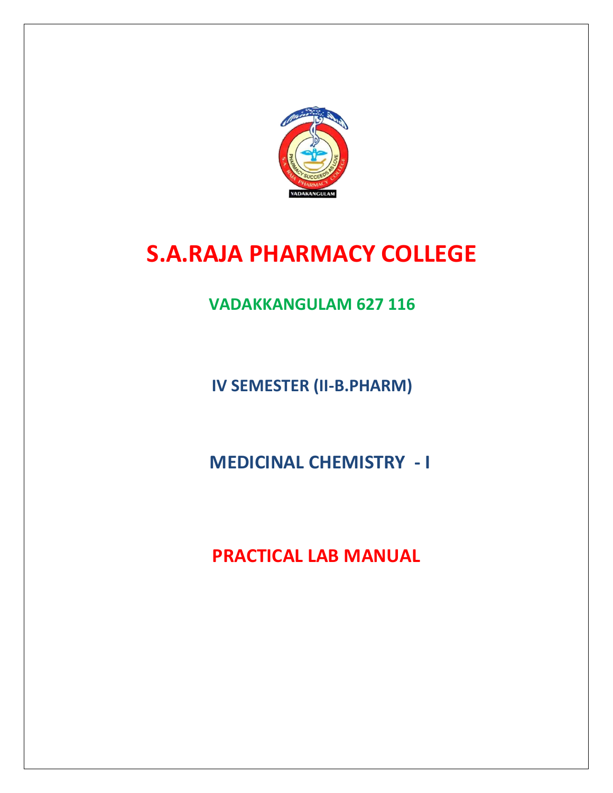

# **S.A.RAJA PHARMACY COLLEGE**

**VADAKKANGULAM 627 116**

**IV SEMESTER (II-B.PHARM)**

 **MEDICINAL CHEMISTRY - I**

 **PRACTICAL LAB MANUAL**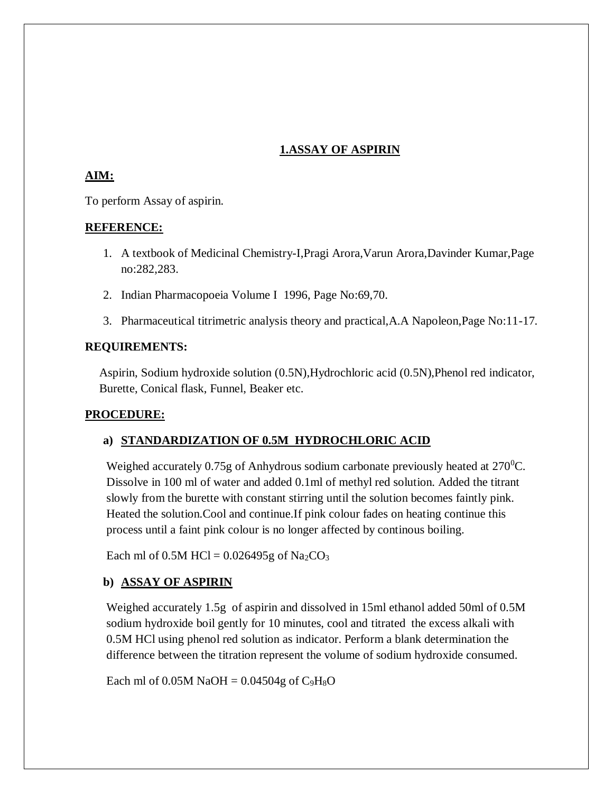### **1.ASSAY OF ASPIRIN**

### **AIM:**

To perform Assay of aspirin.

### **REFERENCE:**

- 1. A textbook of Medicinal Chemistry-I,Pragi Arora,Varun Arora,Davinder Kumar,Page no:282,283.
- 2. Indian Pharmacopoeia Volume I 1996, Page No:69,70.
- 3. Pharmaceutical titrimetric analysis theory and practical,A.A Napoleon,Page No:11-17.

## **REQUIREMENTS:**

Aspirin, Sodium hydroxide solution (0.5N),Hydrochloric acid (0.5N),Phenol red indicator, Burette, Conical flask, Funnel, Beaker etc.

### **PROCEDURE:**

# **a) STANDARDIZATION OF 0.5M HYDROCHLORIC ACID**

Weighed accurately  $0.75g$  of Anhydrous sodium carbonate previously heated at  $270^0C$ . Dissolve in 100 ml of water and added 0.1ml of methyl red solution. Added the titrant slowly from the burette with constant stirring until the solution becomes faintly pink. Heated the solution.Cool and continue.If pink colour fades on heating continue this process until a faint pink colour is no longer affected by continous boiling.

Each ml of  $0.5M$  HCl =  $0.026495g$  of Na<sub>2</sub>CO<sub>3</sub>

# **b) ASSAY OF ASPIRIN**

Weighed accurately 1.5g of aspirin and dissolved in 15ml ethanol added 50ml of 0.5M sodium hydroxide boil gently for 10 minutes, cool and titrated the excess alkali with 0.5M HCl using phenol red solution as indicator. Perform a blank determination the difference between the titration represent the volume of sodium hydroxide consumed.

Each ml of  $0.05M$  NaOH =  $0.04504g$  of C<sub>9</sub>H<sub>8</sub>O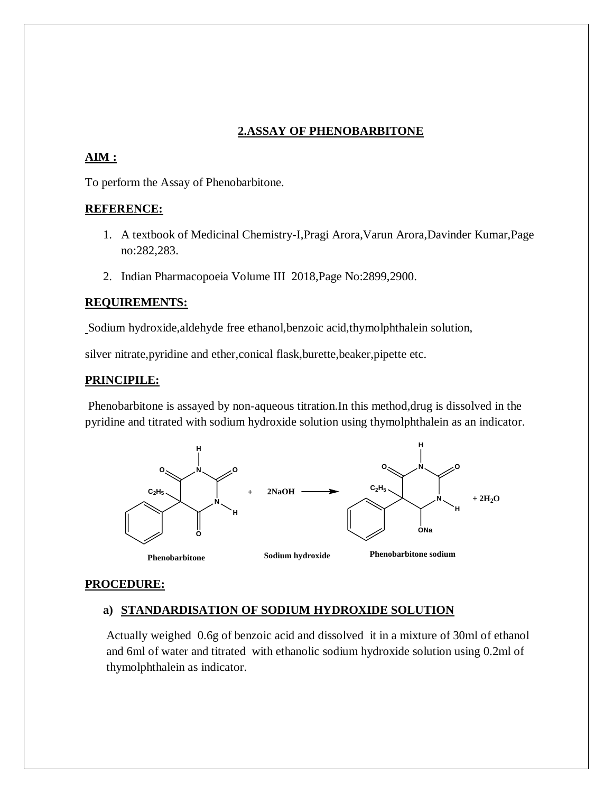### **2.ASSAY OF PHENOBARBITONE**

### **AIM :**

To perform the Assay of Phenobarbitone.

#### **REFERENCE:**

- 1. A textbook of Medicinal Chemistry-I,Pragi Arora,Varun Arora,Davinder Kumar,Page no:282,283.
- 2. Indian Pharmacopoeia Volume III 2018,Page No:2899,2900.

#### **REQUIREMENTS:**

Sodium hydroxide,aldehyde free ethanol,benzoic acid,thymolphthalein solution,

silver nitrate,pyridine and ether,conical flask,burette,beaker,pipette etc.

#### **PRINCIPILE:**

Phenobarbitone is assayed by non-aqueous titration.In this method,drug is dissolved in the pyridine and titrated with sodium hydroxide solution using thymolphthalein as an indicator.



#### **PROCEDURE:**

#### **a) STANDARDISATION OF SODIUM HYDROXIDE SOLUTION**

Actually weighed 0.6g of benzoic acid and dissolved it in a mixture of 30ml of ethanol and 6ml of water and titrated with ethanolic sodium hydroxide solution using 0.2ml of thymolphthalein as indicator.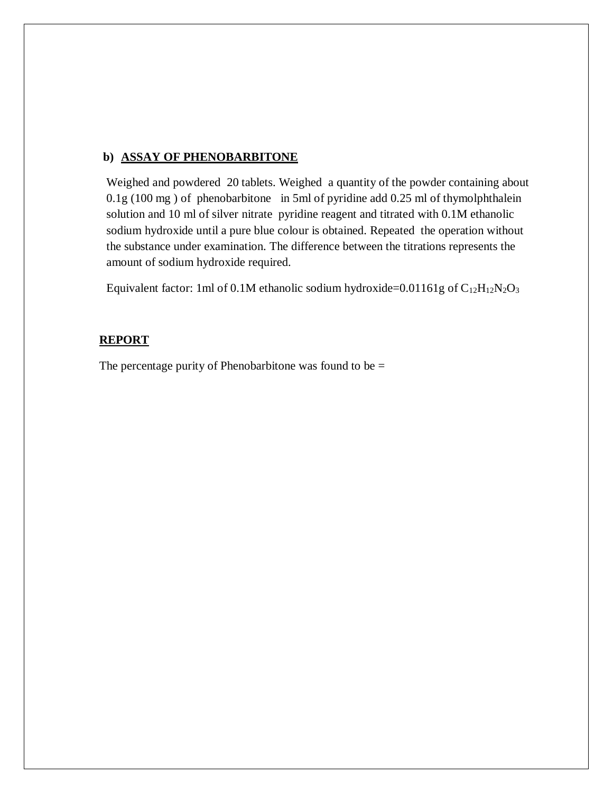#### **b) ASSAY OF PHENOBARBITONE**

Weighed and powdered 20 tablets. Weighed a quantity of the powder containing about 0.1g (100 mg ) of phenobarbitone in 5ml of pyridine add 0.25 ml of thymolphthalein solution and 10 ml of silver nitrate pyridine reagent and titrated with 0.1M ethanolic sodium hydroxide until a pure blue colour is obtained. Repeated the operation without the substance under examination. The difference between the titrations represents the amount of sodium hydroxide required.

Equivalent factor: 1ml of 0.1M ethanolic sodium hydroxide=0.01161g of  $C_{12}H_{12}N_2O_3$ 

#### **REPORT**

The percentage purity of Phenobarbitone was found to be  $=$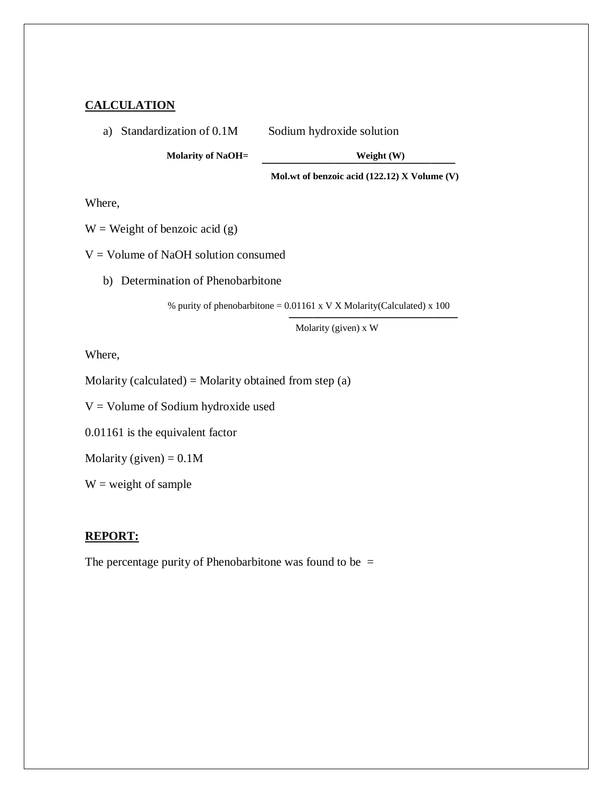#### **CALCULATION**

a) Standardization of 0.1M Sodium hydroxide solution

**Molarity of NaOH= Weight (W)**

**Mol.wt of benzoic acid (122.12) X Volume (V)**

Where,

 $W = Weight of benzoi'c acid(g)$ 

 $V =$  Volume of NaOH solution consumed

b) Determination of Phenobarbitone

% purity of phenobarbitone =  $0.01161 \times V X$  Molarity(Calculated) x 100

Molarity (given) <sup>x</sup> W

Where,

Molarity (calculated) = Molarity obtained from step  $(a)$ 

V = Volume of Sodium hydroxide used

0.01161 is the equivalent factor

Molarity (given) =  $0.1M$ 

 $W = weight of sample$ 

#### **REPORT:**

The percentage purity of Phenobarbitone was found to be  $=$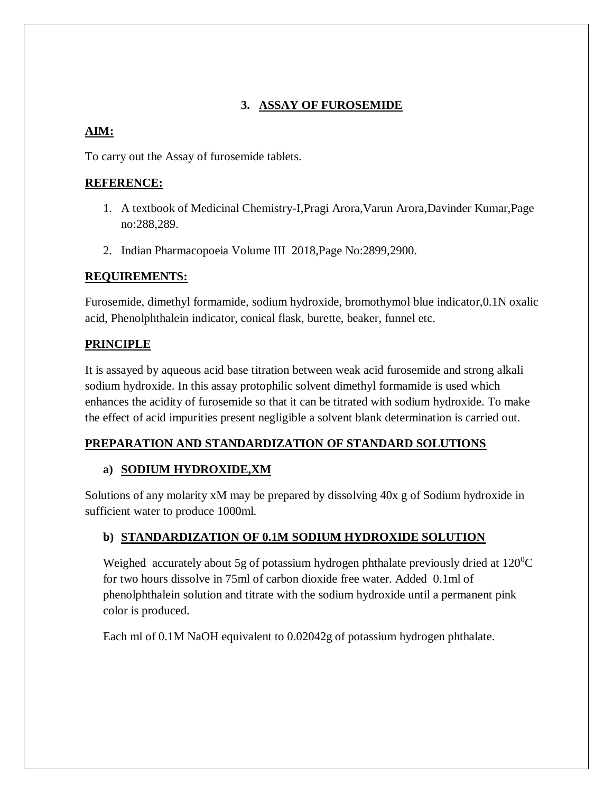# **3. ASSAY OF FUROSEMIDE**

# **AIM:**

To carry out the Assay of furosemide tablets.

# **REFERENCE:**

- 1. A textbook of Medicinal Chemistry-I,Pragi Arora,Varun Arora,Davinder Kumar,Page no:288,289.
- 2. Indian Pharmacopoeia Volume III 2018,Page No:2899,2900.

# **REQUIREMENTS:**

Furosemide, dimethyl formamide, sodium hydroxide, bromothymol blue indicator,0.1N oxalic acid, Phenolphthalein indicator, conical flask, burette, beaker, funnel etc.

# **PRINCIPLE**

It is assayed by aqueous acid base titration between weak acid furosemide and strong alkali sodium hydroxide. In this assay protophilic solvent dimethyl formamide is used which enhances the acidity of furosemide so that it can be titrated with sodium hydroxide. To make the effect of acid impurities present negligible a solvent blank determination is carried out.

# **PREPARATION AND STANDARDIZATION OF STANDARD SOLUTIONS**

# **a) SODIUM HYDROXIDE,XM**

Solutions of any molarity xM may be prepared by dissolving 40x g of Sodium hydroxide in sufficient water to produce 1000ml.

# **b) STANDARDIZATION OF 0.1M SODIUM HYDROXIDE SOLUTION**

Weighed accurately about 5g of potassium hydrogen phthalate previously dried at  $120^{\circ}$ C for two hours dissolve in 75ml of carbon dioxide free water. Added 0.1ml of phenolphthalein solution and titrate with the sodium hydroxide until a permanent pink color is produced.

Each ml of 0.1M NaOH equivalent to 0.02042g of potassium hydrogen phthalate.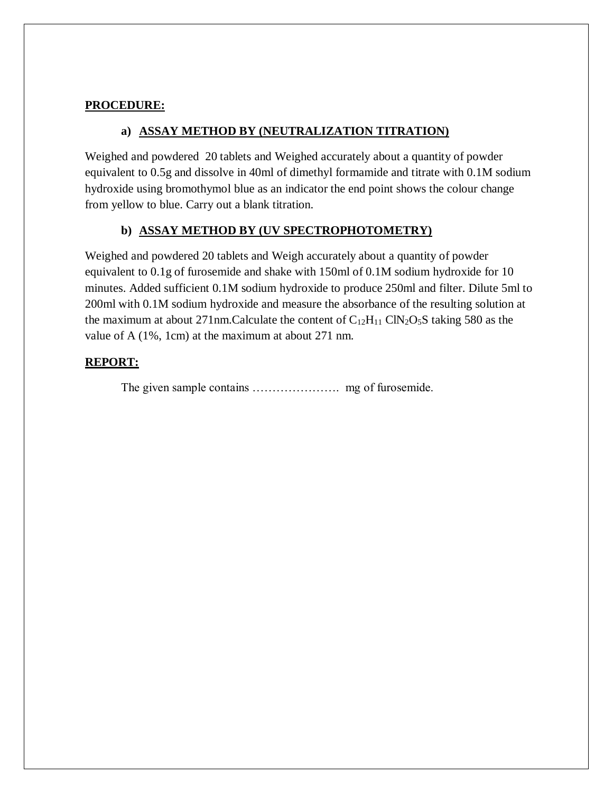#### **PROCEDURE:**

#### **a) ASSAY METHOD BY (NEUTRALIZATION TITRATION)**

Weighed and powdered 20 tablets and Weighed accurately about a quantity of powder equivalent to 0.5g and dissolve in 40ml of dimethyl formamide and titrate with 0.1M sodium hydroxide using bromothymol blue as an indicator the end point shows the colour change from yellow to blue. Carry out a blank titration.

#### **b) ASSAY METHOD BY (UV SPECTROPHOTOMETRY)**

Weighed and powdered 20 tablets and Weigh accurately about a quantity of powder equivalent to 0.1g of furosemide and shake with 150ml of 0.1M sodium hydroxide for 10 minutes. Added sufficient 0.1M sodium hydroxide to produce 250ml and filter. Dilute 5ml to 200ml with 0.1M sodium hydroxide and measure the absorbance of the resulting solution at the maximum at about 271nm.Calculate the content of  $C_{12}H_{11}$  ClN<sub>2</sub>O<sub>5</sub>S taking 580 as the value of A (1%, 1cm) at the maximum at about 271 nm.

#### **REPORT:**

The given sample contains …………………. mg of furosemide.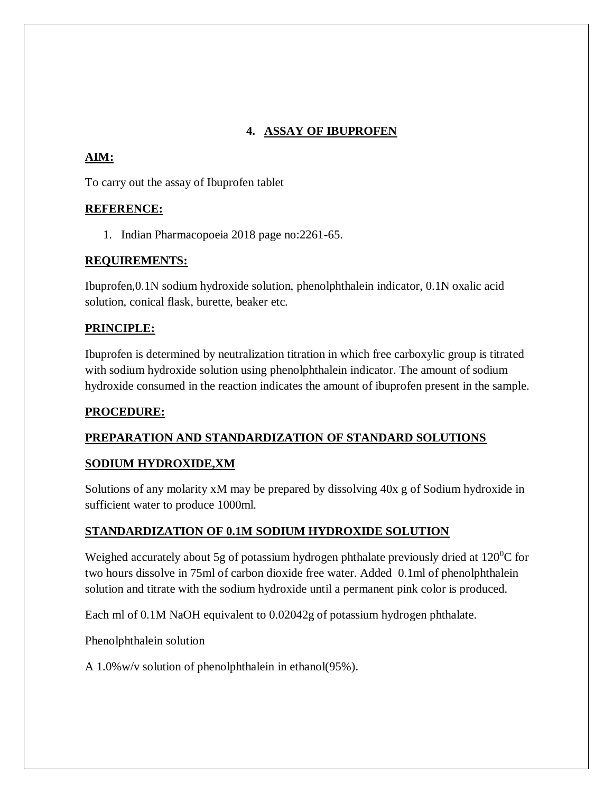# **4. ASSAY OF IBUPROFEN**

# **AIM:**

To carry out the assay of Ibuprofen tablet

## **REFERENCE:**

1. Indian Pharmacopoeia 2018 page no:2261-65.

## **REQUIREMENTS:**

Ibuprofen,0.1N sodium hydroxide solution, phenolphthalein indicator, 0.1N oxalic acid solution, conical flask, burette, beaker etc.

## **PRINCIPLE:**

Ibuprofen is determined by neutralization titration in which free carboxylic group is titrated with sodium hydroxide solution using phenolphthalein indicator. The amount of sodium hydroxide consumed in the reaction indicates the amount of ibuprofen present in the sample.

# **PROCEDURE:**

# **PREPARATION AND STANDARDIZATION OF STANDARD SOLUTIONS**

### **SODIUM HYDROXIDE,XM**

Solutions of any molarity xM may be prepared by dissolving 40x g of Sodium hydroxide in sufficient water to produce 1000ml.

# **STANDARDIZATION OF 0.1M SODIUM HYDROXIDE SOLUTION**

Weighed accurately about 5g of potassium hydrogen phthalate previously dried at  $120^0C$  for two hours dissolve in 75ml of carbon dioxide free water. Added 0.1ml of phenolphthalein solution and titrate with the sodium hydroxide until a permanent pink color is produced.

Each ml of 0.1M NaOH equivalent to 0.02042g of potassium hydrogen phthalate.

Phenolphthalein solution

A 1.0%w/v solution of phenolphthalein in ethanol(95%).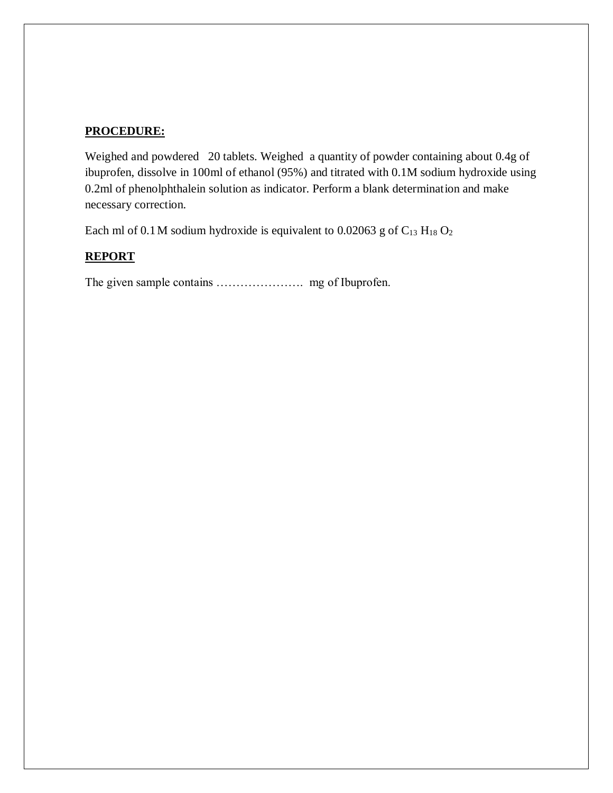### **PROCEDURE:**

Weighed and powdered 20 tablets. Weighed a quantity of powder containing about 0.4g of ibuprofen, dissolve in 100ml of ethanol (95%) and titrated with 0.1M sodium hydroxide using 0.2ml of phenolphthalein solution as indicator. Perform a blank determination and make necessary correction.

Each ml of 0.1 M sodium hydroxide is equivalent to 0.02063 g of  $C_{13}$  H<sub>18</sub> O<sub>2</sub>

### **REPORT**

The given sample contains …………………. mg of Ibuprofen.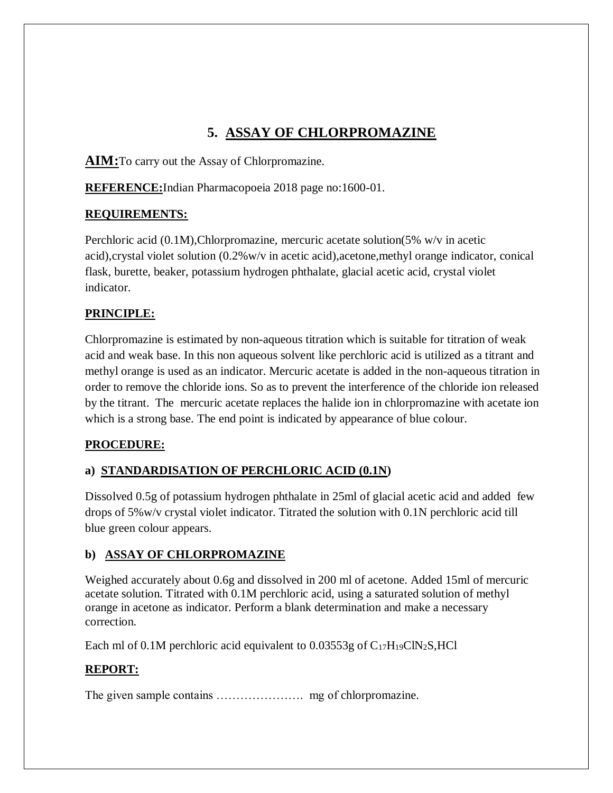# **5. ASSAY OF CHLORPROMAZINE**

**AIM:**To carry out the Assay of Chlorpromazine.

**REFERENCE:**Indian Pharmacopoeia 2018 page no:1600-01.

## **REQUIREMENTS:**

Perchloric acid (0.1M),Chlorpromazine, mercuric acetate solution(5% w/v in acetic acid),crystal violet solution (0.2%w/v in acetic acid),acetone,methyl orange indicator, conical flask, burette, beaker, potassium hydrogen phthalate, glacial acetic acid, crystal violet indicator.

# **PRINCIPLE:**

Chlorpromazine is estimated by non-aqueous titration which is suitable for titration of weak acid and weak base. In this non aqueous solvent like perchloric acid is utilized as a titrant and methyl orange is used as an indicator. Mercuric acetate is added in the non-aqueous titration in order to remove the chloride ions. So as to prevent the interference of the chloride ion released by the titrant. The mercuric acetate replaces the halide ion in chlorpromazine with acetate ion which is a strong base. The end point is indicated by appearance of blue colour.

# **PROCEDURE:**

# **a) STANDARDISATION OF PERCHLORIC ACID (0.1N)**

Dissolved 0.5g of potassium hydrogen phthalate in 25ml of glacial acetic acid and added few drops of 5%w/v crystal violet indicator. Titrated the solution with 0.1N perchloric acid till blue green colour appears.

# **b) ASSAY OF CHLORPROMAZINE**

Weighed accurately about 0.6g and dissolved in 200 ml of acetone. Added 15ml of mercuric acetate solution. Titrated with 0.1M perchloric acid, using a saturated solution of methyl orange in acetone as indicator. Perform a blank determination and make a necessary correction.

Each ml of 0.1M perchloric acid equivalent to  $0.03553g$  of  $C_{17}H_{19}CIN_2S$ , HCl

# **REPORT:**

The given sample contains …………………. mg of chlorpromazine.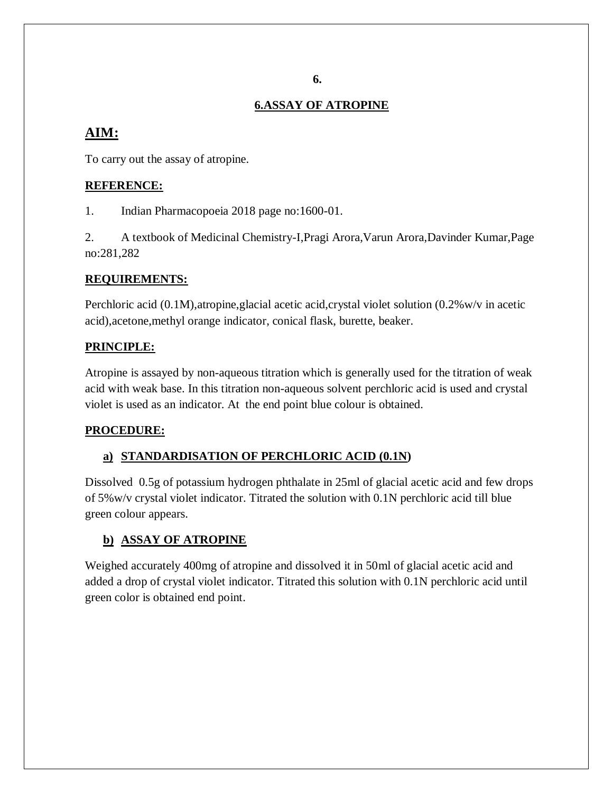#### **6.**

### **6.ASSAY OF ATROPINE**

# **AIM:**

To carry out the assay of atropine.

### **REFERENCE:**

1. Indian Pharmacopoeia 2018 page no:1600-01.

2. A textbook of Medicinal Chemistry-I,Pragi Arora,Varun Arora,Davinder Kumar,Page no:281,282

### **REQUIREMENTS:**

Perchloric acid (0.1M), atropine, glacial acetic acid, crystal violet solution (0.2%w/v in acetic acid),acetone,methyl orange indicator, conical flask, burette, beaker.

## **PRINCIPLE:**

Atropine is assayed by non-aqueous titration which is generally used for the titration of weak acid with weak base. In this titration non-aqueous solvent perchloric acid is used and crystal violet is used as an indicator. At the end point blue colour is obtained.

### **PROCEDURE:**

# **a) STANDARDISATION OF PERCHLORIC ACID (0.1N)**

Dissolved 0.5g of potassium hydrogen phthalate in 25ml of glacial acetic acid and few drops of 5%w/v crystal violet indicator. Titrated the solution with 0.1N perchloric acid till blue green colour appears.

# **b) ASSAY OF ATROPINE**

Weighed accurately 400mg of atropine and dissolved it in 50ml of glacial acetic acid and added a drop of crystal violet indicator. Titrated this solution with 0.1N perchloric acid until green color is obtained end point.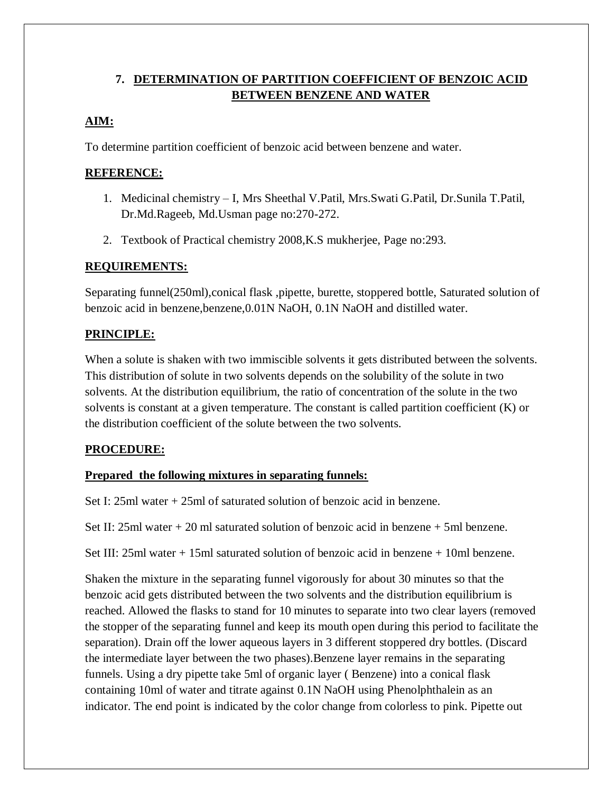# **7. DETERMINATION OF PARTITION COEFFICIENT OF BENZOIC ACID BETWEEN BENZENE AND WATER**

# **AIM:**

To determine partition coefficient of benzoic acid between benzene and water.

## **REFERENCE:**

- 1. Medicinal chemistry I, Mrs Sheethal V.Patil, Mrs.Swati G.Patil, Dr.Sunila T.Patil, Dr.Md.Rageeb, Md.Usman page no:270-272.
- 2. Textbook of Practical chemistry 2008,K.S mukherjee, Page no:293.

## **REQUIREMENTS:**

Separating funnel(250ml),conical flask ,pipette, burette, stoppered bottle, Saturated solution of benzoic acid in benzene,benzene,0.01N NaOH, 0.1N NaOH and distilled water.

# **PRINCIPLE:**

When a solute is shaken with two immiscible solvents it gets distributed between the solvents. This distribution of solute in two solvents depends on the solubility of the solute in two solvents. At the distribution equilibrium, the ratio of concentration of the solute in the two solvents is constant at a given temperature. The constant is called partition coefficient (K) or the distribution coefficient of the solute between the two solvents.

### **PROCEDURE:**

### **Prepared the following mixtures in separating funnels:**

Set I: 25ml water + 25ml of saturated solution of benzoic acid in benzene.

Set II:  $25ml$  water  $+ 20 ml$  saturated solution of benzoic acid in benzene  $+ 5ml$  benzene.

Set III: 25ml water + 15ml saturated solution of benzoic acid in benzene + 10ml benzene.

Shaken the mixture in the separating funnel vigorously for about 30 minutes so that the benzoic acid gets distributed between the two solvents and the distribution equilibrium is reached. Allowed the flasks to stand for 10 minutes to separate into two clear layers (removed the stopper of the separating funnel and keep its mouth open during this period to facilitate the separation). Drain off the lower aqueous layers in 3 different stoppered dry bottles. (Discard the intermediate layer between the two phases).Benzene layer remains in the separating funnels. Using a dry pipette take 5ml of organic layer ( Benzene) into a conical flask containing 10ml of water and titrate against 0.1N NaOH using Phenolphthalein as an indicator. The end point is indicated by the color change from colorless to pink. Pipette out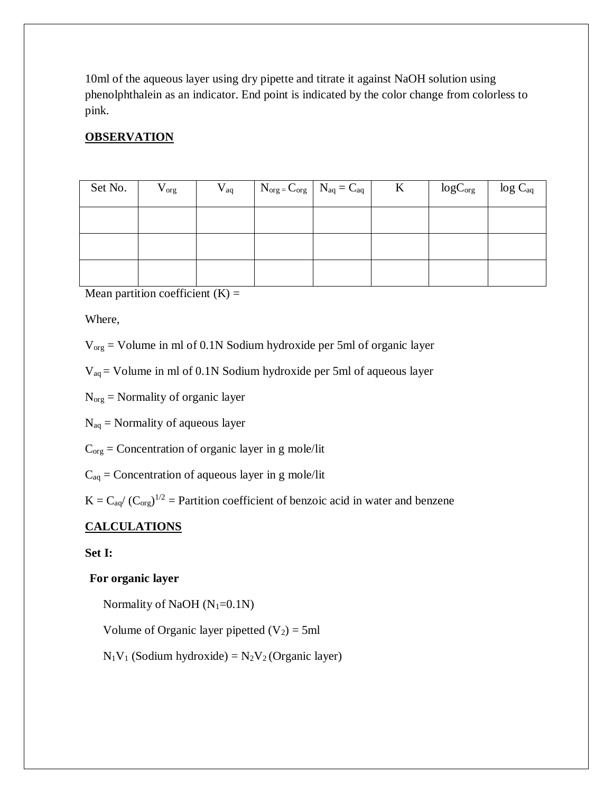10ml of the aqueous layer using dry pipette and titrate it against NaOH solution using phenolphthalein as an indicator. End point is indicated by the color change from colorless to pink.

# **OBSERVATION**

| Set No. | $\rm V_{org}$ | $V_{aq}$ | $N_{org} = C_{org}$ $N_{aq} = C_{aq}$ | K | $\log C_{\text{org}}$   $\log C_{\text{aq}}$ |  |
|---------|---------------|----------|---------------------------------------|---|----------------------------------------------|--|
|         |               |          |                                       |   |                                              |  |
|         |               |          |                                       |   |                                              |  |
|         |               |          |                                       |   |                                              |  |

Mean partition coefficient  $(K)$  =

Where,

Vorg = Volume in ml of 0.1N Sodium hydroxide per 5ml of organic layer

Vaq = Volume in ml of 0.1N Sodium hydroxide per 5ml of aqueous layer

Norg = Normality of organic layer

 $N_{aq}$  = Normality of aqueous layer

 $C_{org}$  = Concentration of organic layer in g mole/lit

 $C_{aq} =$  Concentration of aqueous layer in g mole/lit

 $K = C_{aq} / (C_{org})^{1/2} =$  Partition coefficient of benzoic acid in water and benzene

# **CALCULATIONS**

**Set I:**

### **For organic layer**

Normality of NaOH  $(N_1=0.1N)$ 

Volume of Organic layer pipetted  $(V_2) = 5$ ml

 $N_1V_1$  (Sodium hydroxide) =  $N_2V_2$  (Organic layer)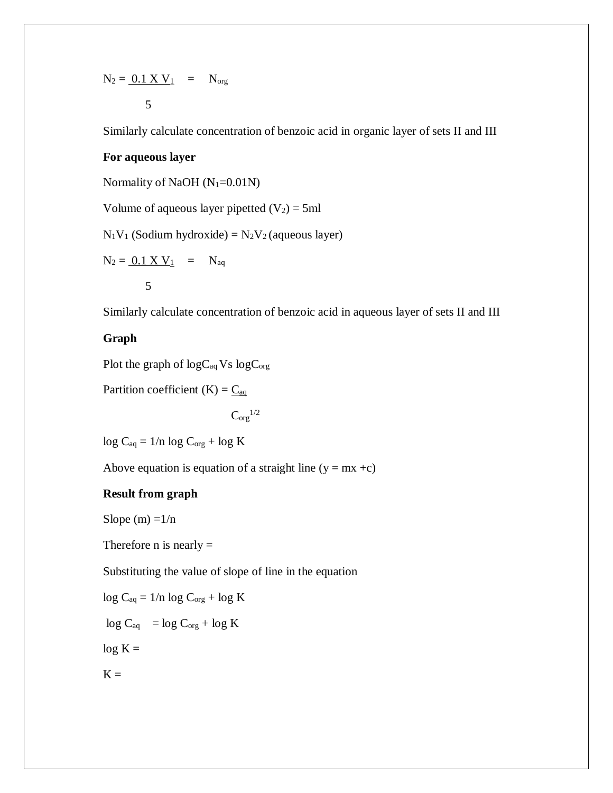$$
N_2 = \underbrace{0.1 \times V_1}_{5} = N_{org}
$$

Similarly calculate concentration of benzoic acid in organic layer of sets II and III

#### **For aqueous layer**

Normality of NaOH  $(N_1=0.01N)$ 

Volume of aqueous layer pipetted  $(V_2) = 5$ ml

 $N_1V_1$  (Sodium hydroxide) =  $N_2V_2$  (aqueous layer)

$$
N_2 = \underbrace{0.1 \times V_1}_{5} = N_{aq}
$$

Similarly calculate concentration of benzoic acid in aqueous layer of sets II and III

#### **Graph**

Plot the graph of  $logC_{aq}$  Vs  $logC_{org}$ 

Partition coefficient  $(K) = \underline{C}_{aq}$ 

 $\mathrm{C}_{\mathrm{org}}^{1/2}$ 

$$
\log C_{aq} = 1/n \log C_{org} + \log K
$$

Above equation is equation of a straight line  $(y = mx +c)$ 

### **Result from graph**

Slope  $(m) = 1/n$ 

Therefore  $n$  is nearly  $=$ 

Substituting the value of slope of line in the equation

$$
log\ C_{aq}=1/n\ log\ C_{org}+log\ K
$$

 $\log C_{aq}$  =  $\log C_{org}$  +  $\log K$ 

 $log K =$ 

$$
\boldsymbol{K} =
$$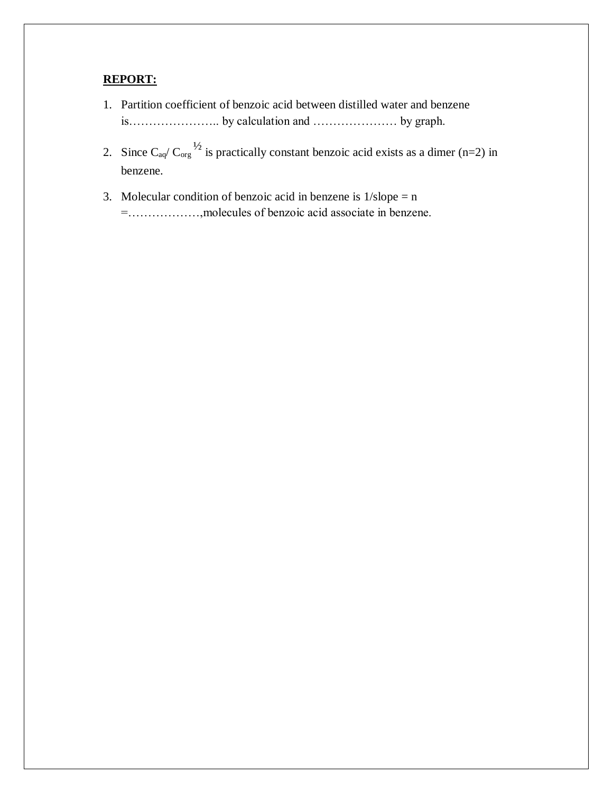#### **REPORT:**

- 1. Partition coefficient of benzoic acid between distilled water and benzene is………………….. by calculation and ………………… by graph.
- 2. Since  $C_{aq}/C_{org}^{1/2}$  is practically constant benzoic acid exists as a dimer (n=2) in benzene.
- 3. Molecular condition of benzoic acid in benzene is  $1/\text{slope} = n$ =………………,molecules of benzoic acid associate in benzene.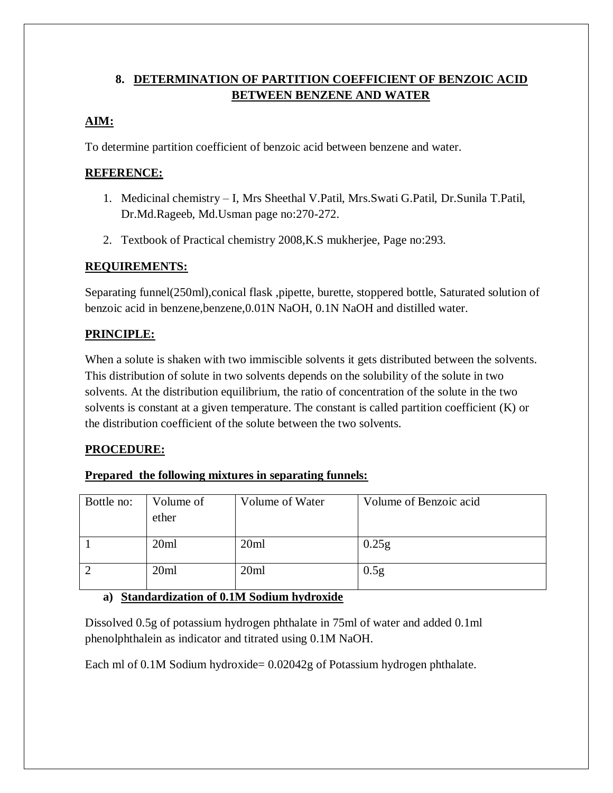# **8. DETERMINATION OF PARTITION COEFFICIENT OF BENZOIC ACID BETWEEN BENZENE AND WATER**

# **AIM:**

To determine partition coefficient of benzoic acid between benzene and water.

# **REFERENCE:**

- 1. Medicinal chemistry I, Mrs Sheethal V.Patil, Mrs.Swati G.Patil, Dr.Sunila T.Patil, Dr.Md.Rageeb, Md.Usman page no:270-272.
- 2. Textbook of Practical chemistry 2008,K.S mukherjee, Page no:293.

## **REQUIREMENTS:**

Separating funnel(250ml),conical flask ,pipette, burette, stoppered bottle, Saturated solution of benzoic acid in benzene,benzene,0.01N NaOH, 0.1N NaOH and distilled water.

# **PRINCIPLE:**

When a solute is shaken with two immiscible solvents it gets distributed between the solvents. This distribution of solute in two solvents depends on the solubility of the solute in two solvents. At the distribution equilibrium, the ratio of concentration of the solute in the two solvents is constant at a given temperature. The constant is called partition coefficient (K) or the distribution coefficient of the solute between the two solvents.

# **PROCEDURE:**

### **Prepared the following mixtures in separating funnels:**

| Bottle no: | Volume of<br>ether | Volume of Water | Volume of Benzoic acid |
|------------|--------------------|-----------------|------------------------|
|            | 20ml               | 20ml            | 0.25g                  |
|            | 20ml               | 20ml            | 0.5g                   |

# **a) Standardization of 0.1M Sodium hydroxide**

Dissolved 0.5g of potassium hydrogen phthalate in 75ml of water and added 0.1ml phenolphthalein as indicator and titrated using 0.1M NaOH.

Each ml of 0.1M Sodium hydroxide= 0.02042g of Potassium hydrogen phthalate.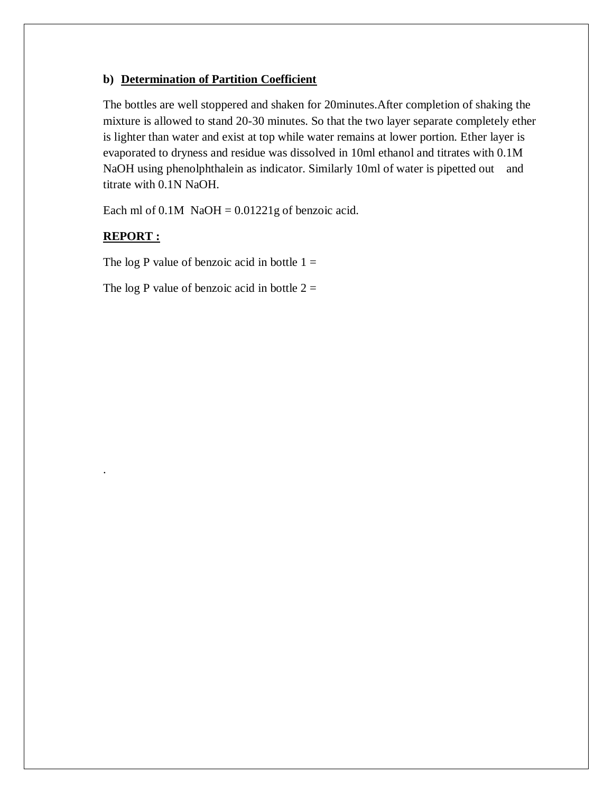#### **b) Determination of Partition Coefficient**

The bottles are well stoppered and shaken for 20minutes.After completion of shaking the mixture is allowed to stand 20-30 minutes. So that the two layer separate completely ether is lighter than water and exist at top while water remains at lower portion. Ether layer is evaporated to dryness and residue was dissolved in 10ml ethanol and titrates with 0.1M NaOH using phenolphthalein as indicator. Similarly 10ml of water is pipetted out and titrate with 0.1N NaOH.

Each ml of  $0.1M$  NaOH =  $0.01221g$  of benzoic acid.

### **REPORT :**

.

The log P value of benzoic acid in bottle  $1 =$ 

The log P value of benzoic acid in bottle  $2 =$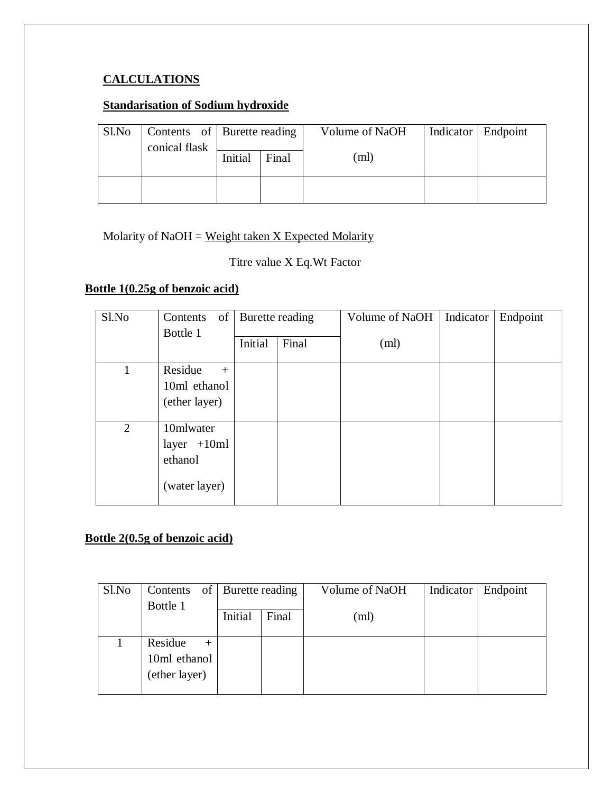# **CALCULATIONS**

# **Standarisation of Sodium hydroxide**

| Sl.No |               | Contents of Burette reading |       | Volume of NaOH | Indicator   Endpoint |
|-------|---------------|-----------------------------|-------|----------------|----------------------|
|       | conical flask | Initial                     | Final | (ml)           |                      |
|       |               |                             |       |                |                      |

## Molarity of  $NaOH = Weight$  taken  $X$  Expected Molarity

# Titre value X Eq.Wt Factor

# **Bottle 1(0.25g of benzoic acid)**

| Sl.No | of<br>Contents | Burette reading |       | Volume of NaOH | Indicator | Endpoint |
|-------|----------------|-----------------|-------|----------------|-----------|----------|
|       | Bottle 1       | Initial         | Final | (ml)           |           |          |
|       | Residue<br>$+$ |                 |       |                |           |          |
|       | 10ml ethanol   |                 |       |                |           |          |
|       | (ether layer)  |                 |       |                |           |          |
|       |                |                 |       |                |           |          |
| 2     | 10mlwater      |                 |       |                |           |          |
|       | layer $+10ml$  |                 |       |                |           |          |
|       | ethanol        |                 |       |                |           |          |
|       | (water layer)  |                 |       |                |           |          |

# **Bottle 2(0.5g of benzoic acid)**

| Sl.No | Contents                                           | of Burette reading |       | Volume of NaOH | Indicator | Endpoint |
|-------|----------------------------------------------------|--------------------|-------|----------------|-----------|----------|
|       | Bottle 1                                           | Initial            | Final | (ml)           |           |          |
|       | Residue<br>$^{+}$<br>10ml ethanol<br>(ether layer) |                    |       |                |           |          |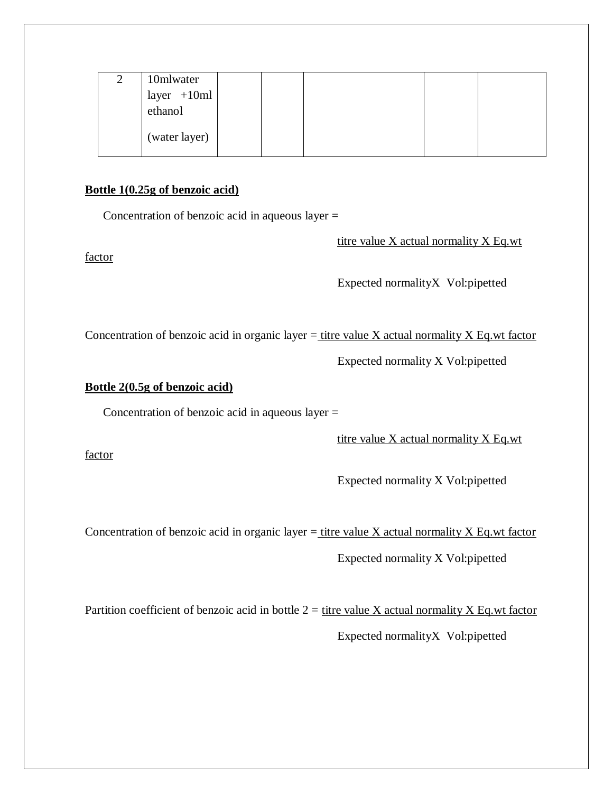| 2 | 10mlwater                                                                        |  |  |  |
|---|----------------------------------------------------------------------------------|--|--|--|
|   |                                                                                  |  |  |  |
|   | $\begin{array}{c c}\n\text{layer} & +10\text{ml} \\ \text{ethanol}\n\end{array}$ |  |  |  |
|   | (water layer)                                                                    |  |  |  |

#### **Bottle 1(0.25g of benzoic acid)**

Concentration of benzoic acid in aqueous layer =

titre value X actual normality X Eq.wt

factor

Expected normalityX Vol:pipetted

Concentration of benzoic acid in organic layer  $=$  titre value X actual normality X Eq.wt factor

Expected normality X Vol:pipetted

#### **Bottle 2(0.5g of benzoic acid)**

Concentration of benzoic acid in aqueous layer =

titre value X actual normality X Eq.wt

factor

Expected normality X Vol:pipetted

Concentration of benzoic acid in organic layer  $=$  titre value X actual normality X Eq.wt factor

Expected normality X Vol:pipetted

Partition coefficient of benzoic acid in bottle  $2 =$  titre value X actual normality X Eq.wt factor Expected normalityX Vol:pipetted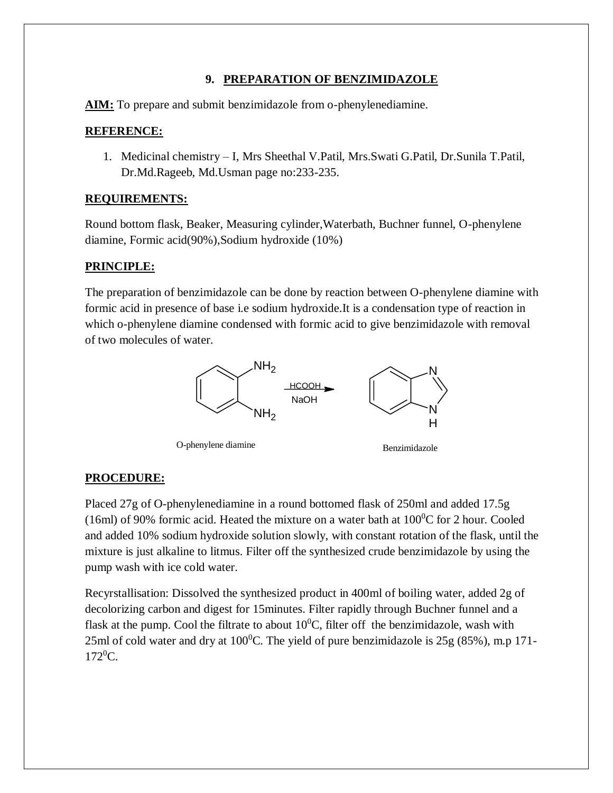### **9. PREPARATION OF BENZIMIDAZOLE**

**AIM:** To prepare and submit benzimidazole from o-phenylenediamine.

### **REFERENCE:**

1. Medicinal chemistry – I, Mrs Sheethal V.Patil, Mrs.Swati G.Patil, Dr.Sunila T.Patil, Dr.Md.Rageeb, Md.Usman page no:233-235.

### **REQUIREMENTS:**

Round bottom flask, Beaker, Measuring cylinder,Waterbath, Buchner funnel, O-phenylene diamine, Formic acid(90%),Sodium hydroxide (10%)

### **PRINCIPLE:**

The preparation of benzimidazole can be done by reaction between O-phenylene diamine with formic acid in presence of base i.e sodium hydroxide.It is a condensation type of reaction in which o-phenylene diamine condensed with formic acid to give benzimidazole with removal of two molecules of water.



### **PROCEDURE:**

Placed 27g of O-phenylenediamine in a round bottomed flask of 250ml and added 17.5g (16ml) of 90% formic acid. Heated the mixture on a water bath at  $100^{\circ}$ C for 2 hour. Cooled and added 10% sodium hydroxide solution slowly, with constant rotation of the flask, until the mixture is just alkaline to litmus. Filter off the synthesized crude benzimidazole by using the pump wash with ice cold water.

Recyrstallisation: Dissolved the synthesized product in 400ml of boiling water, added 2g of decolorizing carbon and digest for 15minutes. Filter rapidly through Buchner funnel and a flask at the pump. Cool the filtrate to about  $10^{0}$ C, filter off the benzimidazole, wash with 25ml of cold water and dry at  $100^{\circ}$ C. The yield of pure benzimidazole is 25g (85%), m.p 171- $172^0C$ .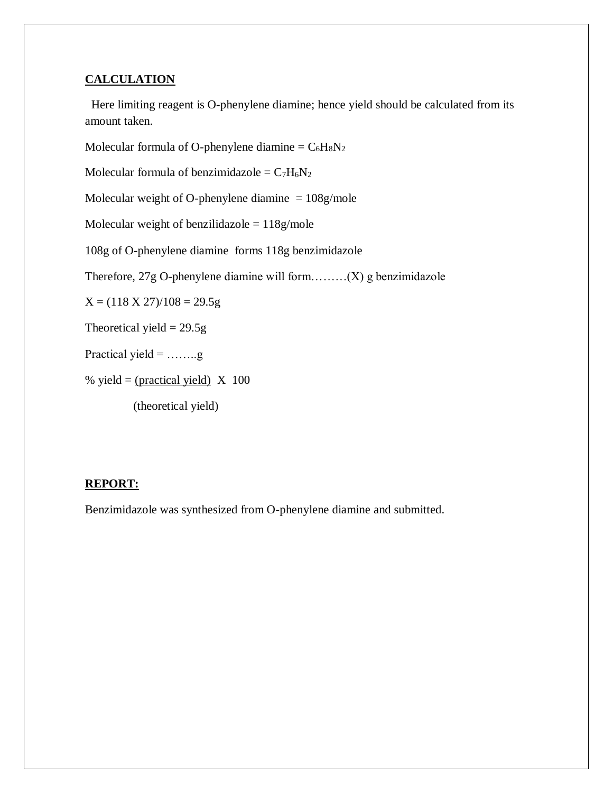#### **CALCULATION**

 Here limiting reagent is O-phenylene diamine; hence yield should be calculated from its amount taken.

Molecular formula of O-phenylene diamine =  $C_6H_8N_2$ 

Molecular formula of benzimidazole =  $C_7H_6N_2$ 

Molecular weight of O-phenylene diamine  $= 108$ g/mole

Molecular weight of benzilidazole  $= 118$ g/mole

108g of O-phenylene diamine forms 118g benzimidazole

Therefore, 27g O-phenylene diamine will form………(X) g benzimidazole

 $X = (118 \text{ X } 27)/108 = 29.5g$ 

Theoretical yield  $= 29.5g$ 

Practical yield =  $\dots \dots$ g

% yield = (practical yield)  $X$  100

(theoretical yield)

#### **REPORT:**

Benzimidazole was synthesized from O-phenylene diamine and submitted.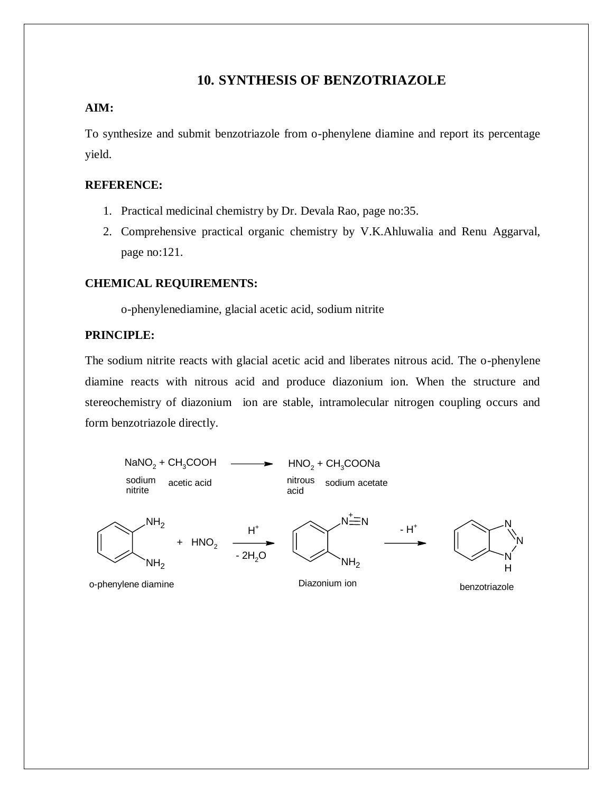### **10. SYNTHESIS OF BENZOTRIAZOLE**

#### **AIM:**

To synthesize and submit benzotriazole from o-phenylene diamine and report its percentage yield.

#### **REFERENCE:**

- 1. Practical medicinal chemistry by Dr. Devala Rao, page no:35.
- 2. Comprehensive practical organic chemistry by V.K.Ahluwalia and Renu Aggarval, page no:121.

#### **CHEMICAL REQUIREMENTS:**

o-phenylenediamine, glacial acetic acid, sodium nitrite

#### **PRINCIPLE:**

The sodium nitrite reacts with glacial acetic acid and liberates nitrous acid. The o-phenylene diamine reacts with nitrous acid and produce diazonium ion. When the structure and stereochemistry of diazonium ion are stable, intramolecular nitrogen coupling occurs and form benzotriazole directly.

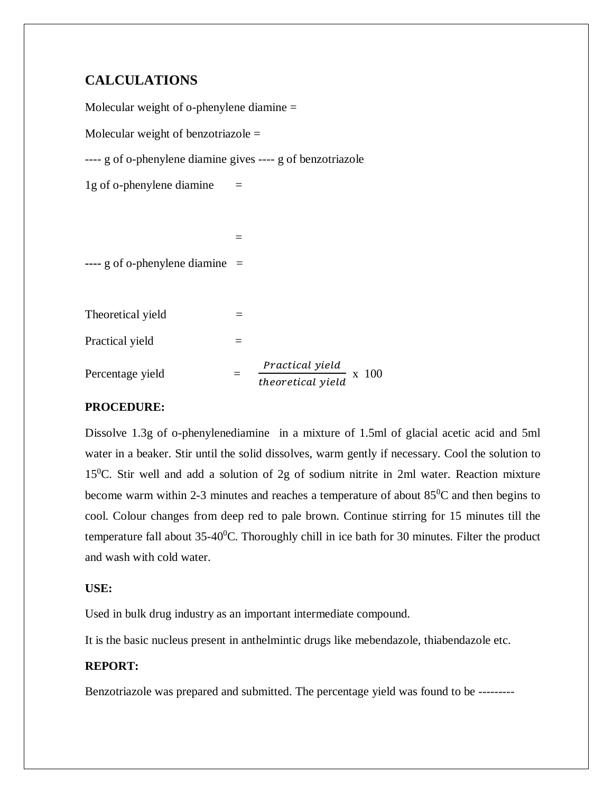# **CALCULATIONS**

Molecular weight of o-phenylene diamine = Molecular weight of benzotriazole  $=$ ---- g of o-phenylene diamine gives ---- g of benzotriazole 1g of o-phenylene diamine  $=$  = **----** g of o-phenylene diamine =

Theoretical yield  $=$ Practical yield  $=$ Percentage yield Practical yield  $\frac{1 + \arccos(1 + \arccos(1 + \arccos(1 + \arccos(1 + \arccos(1 + \arccos(1 + \arccos(1 + \arccos(1 + \arccos(1 + \arccos(1 + \arccos(1 + \arccos(1 + \arccos(1 + \arccos(1 + \arccos(1 + \arccos(1 + \arccos(1 + \arccos(1 + \arccos(1 + \arccos(1 + \arccos(1 + \arccos(1 + \arccos(1 + \arccos(1 + \arccos(1 + \arccos(1 + \arccos(1 + \arccos(1 + \arccos(1 + \arccos(1 + \arccos($ 

### **PROCEDURE:**

Dissolve 1.3g of o-phenylenediamine in a mixture of 1.5ml of glacial acetic acid and 5ml water in a beaker. Stir until the solid dissolves, warm gently if necessary. Cool the solution to 15<sup>0</sup>C. Stir well and add a solution of 2g of sodium nitrite in 2ml water. Reaction mixture become warm within 2-3 minutes and reaches a temperature of about  $85^{\circ}$ C and then begins to cool. Colour changes from deep red to pale brown. Continue stirring for 15 minutes till the temperature fall about  $35-40^{\circ}$ C. Thoroughly chill in ice bath for 30 minutes. Filter the product and wash with cold water.

#### **USE:**

Used in bulk drug industry as an important intermediate compound.

It is the basic nucleus present in anthelmintic drugs like mebendazole, thiabendazole etc.

### **REPORT:**

Benzotriazole was prepared and submitted. The percentage yield was found to be ---------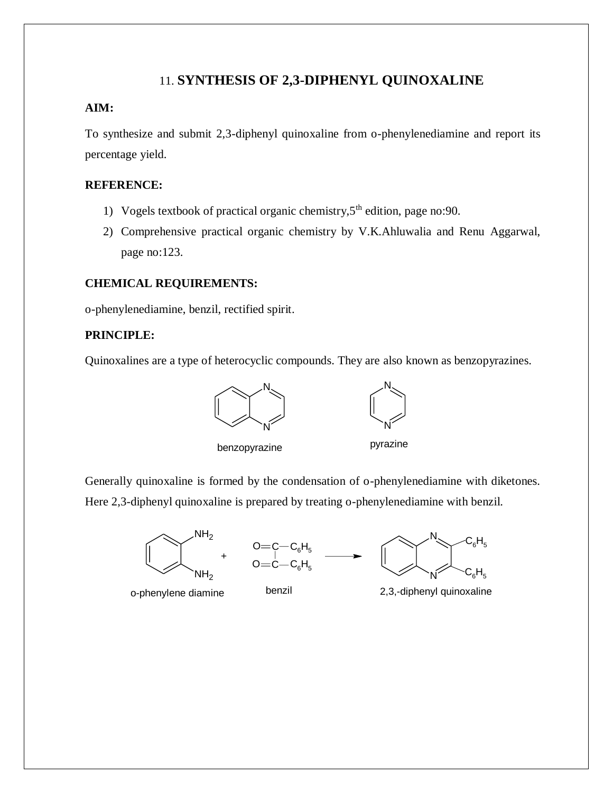# 11. **SYNTHESIS OF 2,3-DIPHENYL QUINOXALINE**

#### **AIM:**

To synthesize and submit 2,3-diphenyl quinoxaline from o-phenylenediamine and report its percentage yield.

#### **REFERENCE:**

- 1) Vogels textbook of practical organic chemistry,  $5<sup>th</sup>$  edition, page no: 90.
- 2) Comprehensive practical organic chemistry by V.K.Ahluwalia and Renu Aggarwal, page no:123.

#### **CHEMICAL REQUIREMENTS:**

o-phenylenediamine, benzil, rectified spirit.

#### **PRINCIPLE:**

Quinoxalines are a type of heterocyclic compounds. They are also known as benzopyrazines.





benzopyrazine **pyrazine** 

Generally quinoxaline is formed by the condensation of o-phenylenediamine with diketones. Here 2,3-diphenyl quinoxaline is prepared by treating o-phenylenediamine with benzil.







o-phenylene diamine benzil 2,3,-diphenyl quinoxaline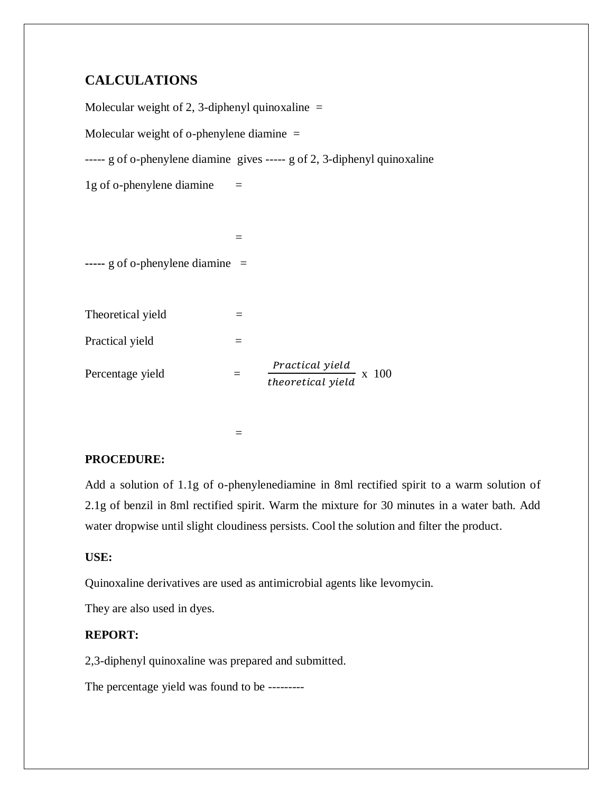# **CALCULATIONS**

Molecular weight of 2, 3-diphenyl quinoxaline  $=$ Molecular weight of o-phenylene diamine = ----- g of o-phenylene diamine gives ----- g of 2, 3-diphenyl quinoxaline 1g of o-phenylene diamine  $=$  = **-----** g of o-phenylene diamine = Theoretical yield  $=$ Practical yield  $=$ Percentage yield  $=$ Practical yield  $\frac{1 + \arccos(1 + \arccos(1 + \arccos(1 + \arccos(1 + \arccos(1 + \arccos(1 + \arccos(1 + \arccos(1 + \arccos(1 + \arccos(1 + \arccos(1 + \arccos(1 + \arccos(1 + \arccos(1 + \arccos(1 + \arccos(1 + \arccos(1 + \arccos(1 + \arccos(1 + \arccos(1 + \arccos(1 + \arccos(1 + \arccos(1 + \arccos(1 + \arccos(1 + \arccos(1 + \arccos(1 + \arccos(1 + \arccos(1 + \arccos(1 + \arccos($ 

### **PROCEDURE:**

=

Add a solution of 1.1g of o-phenylenediamine in 8ml rectified spirit to a warm solution of 2.1g of benzil in 8ml rectified spirit. Warm the mixture for 30 minutes in a water bath. Add water dropwise until slight cloudiness persists. Cool the solution and filter the product.

### **USE:**

Quinoxaline derivatives are used as antimicrobial agents like levomycin.

They are also used in dyes.

### **REPORT:**

2,3-diphenyl quinoxaline was prepared and submitted.

The percentage yield was found to be ---------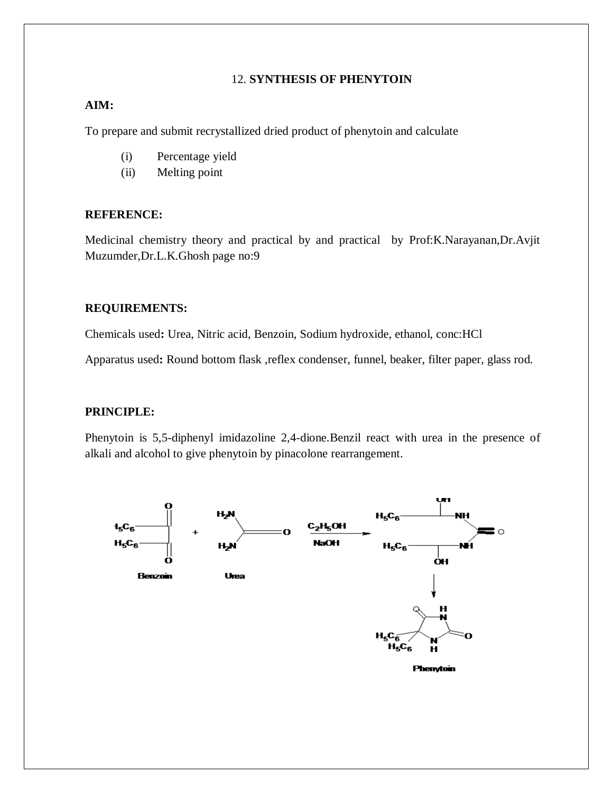#### 12. **SYNTHESIS OF PHENYTOIN**

#### **AIM:**

To prepare and submit recrystallized dried product of phenytoin and calculate

- (i) Percentage yield
- (ii) Melting point

#### **REFERENCE:**

Medicinal chemistry theory and practical by and practical by Prof:K.Narayanan,Dr.Avjit Muzumder,Dr.L.K.Ghosh page no:9

#### **REQUIREMENTS:**

Chemicals used**:** Urea, Nitric acid, Benzoin, Sodium hydroxide, ethanol, conc:HCl

Apparatus used**:** Round bottom flask ,reflex condenser, funnel, beaker, filter paper, glass rod.

#### **PRINCIPLE:**

Phenytoin is 5,5-diphenyl imidazoline 2,4-dione.Benzil react with urea in the presence of alkali and alcohol to give phenytoin by pinacolone rearrangement.

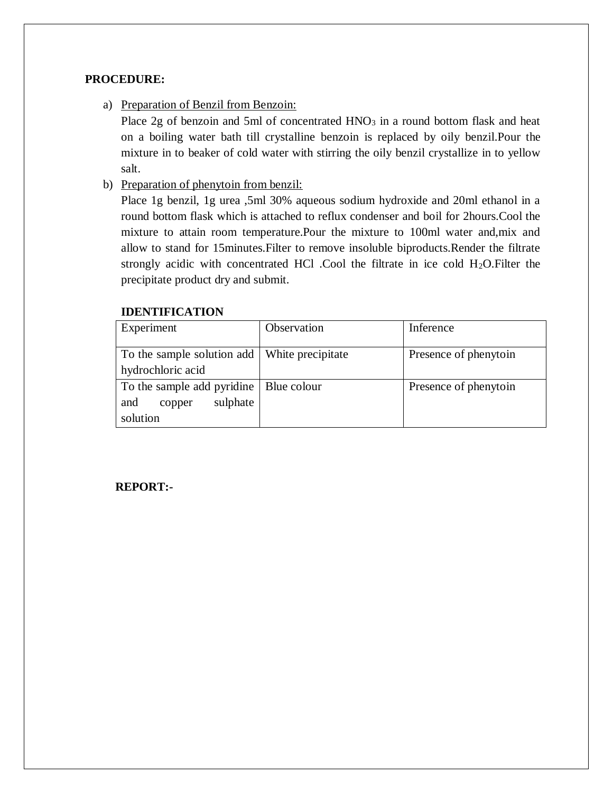### **PROCEDURE:**

a) Preparation of Benzil from Benzoin:

Place  $2g$  of benzoin and 5ml of concentrated  $HNO<sub>3</sub>$  in a round bottom flask and heat on a boiling water bath till crystalline benzoin is replaced by oily benzil.Pour the mixture in to beaker of cold water with stirring the oily benzil crystallize in to yellow salt.

b) Preparation of phenytoin from benzil:

Place 1g benzil, 1g urea ,5ml 30% aqueous sodium hydroxide and 20ml ethanol in a round bottom flask which is attached to reflux condenser and boil for 2hours.Cool the mixture to attain room temperature.Pour the mixture to 100ml water and,mix and allow to stand for 15minutes.Filter to remove insoluble biproducts.Render the filtrate strongly acidic with concentrated HCl .Cool the filtrate in ice cold  $H_2O$ . Filter the precipitate product dry and submit.

### **IDENTIFICATION**

| Experiment                                                                        | Observation | Inference             |
|-----------------------------------------------------------------------------------|-------------|-----------------------|
| To the sample solution add   White precipitate<br>hydrochloric acid               |             | Presence of phenytoin |
| To the sample add pyridine   Blue colour<br>sulphate<br>and<br>copper<br>solution |             | Presence of phenytoin |

#### **REPORT:-**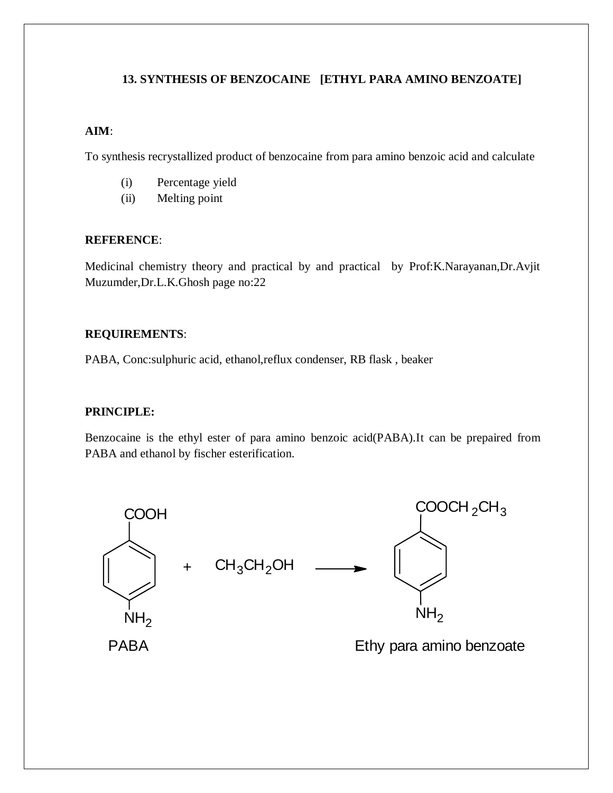### **13. SYNTHESIS OF BENZOCAINE [ETHYL PARA AMINO BENZOATE]**

#### **AIM**:

To synthesis recrystallized product of benzocaine from para amino benzoic acid and calculate

- (i) Percentage yield
- (ii) Melting point

#### **REFERENCE**:

Medicinal chemistry theory and practical by and practical by Prof:K.Narayanan,Dr.Avjit Muzumder,Dr.L.K.Ghosh page no:22

#### **REQUIREMENTS**:

PABA, Conc:sulphuric acid, ethanol,reflux condenser, RB flask , beaker

### **PRINCIPLE:**

Benzocaine is the ethyl ester of para amino benzoic acid(PABA).It can be prepaired from PABA and ethanol by fischer esterification.

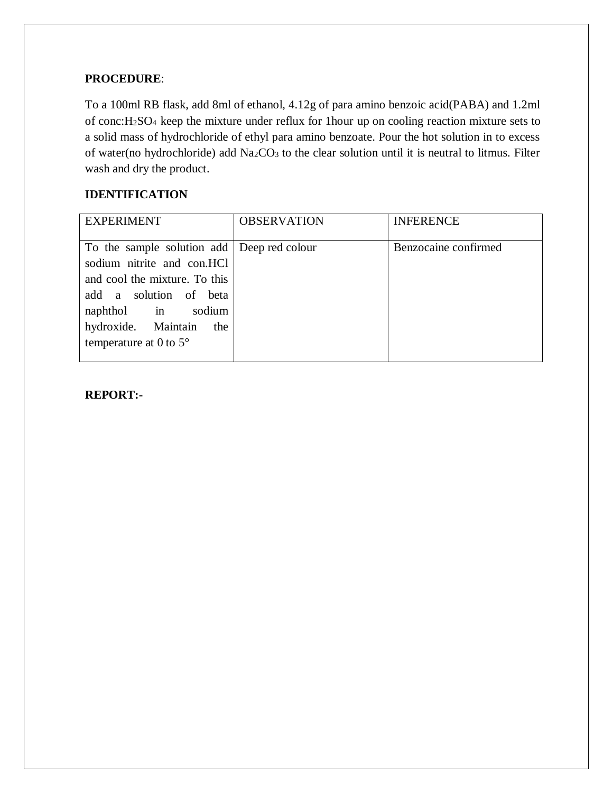### **PROCEDURE**:

To a 100ml RB flask, add 8ml of ethanol, 4.12g of para amino benzoic acid(PABA) and 1.2ml of conc:H2SO4 keep the mixture under reflux for 1hour up on cooling reaction mixture sets to a solid mass of hydrochloride of ethyl para amino benzoate. Pour the hot solution in to excess of water(no hydrochloride) add Na<sub>2</sub>CO<sub>3</sub> to the clear solution until it is neutral to litmus. Filter wash and dry the product.

### **IDENTIFICATION**

| <b>EXPERIMENT</b>                                                                                                                                                                                                          | <b>OBSERVATION</b> | <b>INFERENCE</b>     |
|----------------------------------------------------------------------------------------------------------------------------------------------------------------------------------------------------------------------------|--------------------|----------------------|
| To the sample solution add Deep red colour<br>sodium nitrite and con.HCl<br>and cool the mixture. To this<br>add a solution of beta<br>naphthol in sodium<br>hydroxide. Maintain<br>the<br>temperature at 0 to $5^{\circ}$ |                    | Benzocaine confirmed |

#### **REPORT:-**